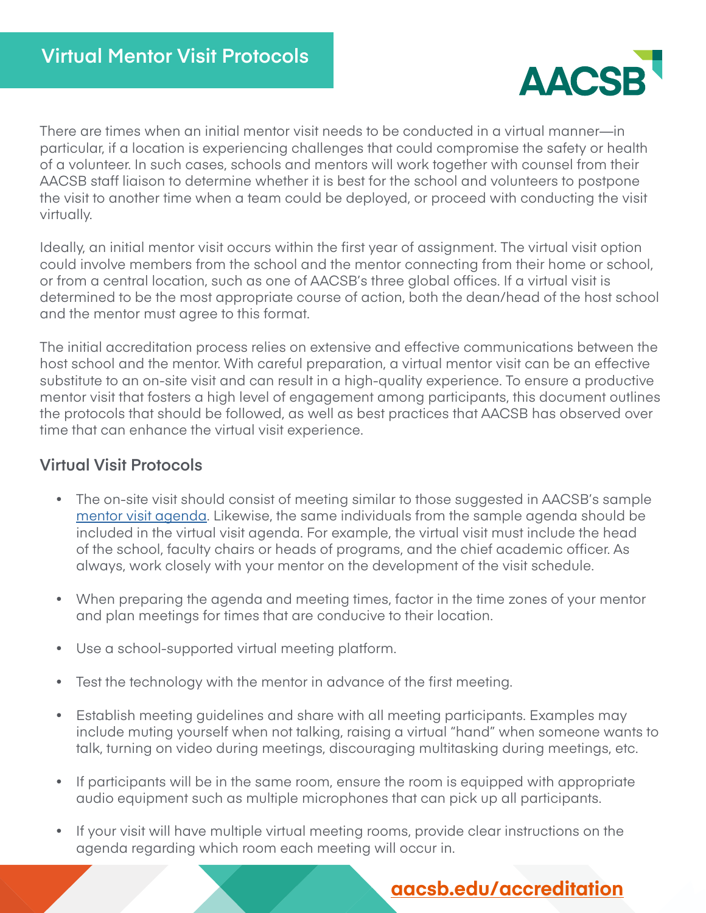

There are times when an initial mentor visit needs to be conducted in a virtual manner—in particular, if a location is experiencing challenges that could compromise the safety or health of a volunteer. In such cases, schools and mentors will work together with counsel from their AACSB staff liaison to determine whether it is best for the school and volunteers to postpone the visit to another time when a team could be deployed, or proceed with conducting the visit virtually.

Ideally, an initial mentor visit occurs within the first year of assignment. The virtual visit option could involve members from the school and the mentor connecting from their home or school, or from a central location, such as one of AACSB's three global offices. If a virtual visit is determined to be the most appropriate course of action, both the dean/head of the host school and the mentor must agree to this format.

The initial accreditation process relies on extensive and effective communications between the host school and the mentor. With careful preparation, a virtual mentor visit can be an effective substitute to an on-site visit and can result in a high-quality experience. To ensure a productive mentor visit that fosters a high level of engagement among participants, this document outlines the protocols that should be followed, as well as best practices that AACSB has observed over time that can enhance the virtual visit experience.

## **Virtual Visit Protocols**

- The on-site visit should consist of meeting similar to those suggested in AACSB's sample [mentor visit agenda](https://www.aacsb.edu/accreditation/volunteers/mentors). Likewise, the same individuals from the sample agenda should be included in the virtual visit agenda. For example, the virtual visit must include the head of the school, faculty chairs or heads of programs, and the chief academic officer. As always, work closely with your mentor on the development of the visit schedule.
- When preparing the agenda and meeting times, factor in the time zones of your mentor and plan meetings for times that are conducive to their location.
- Use a school-supported virtual meeting platform.
- Test the technology with the mentor in advance of the first meeting.
- Establish meeting guidelines and share with all meeting participants. Examples may include muting yourself when not talking, raising a virtual "hand" when someone wants to talk, turning on video during meetings, discouraging multitasking during meetings, etc.
- If participants will be in the same room, ensure the room is equipped with appropriate audio equipment such as multiple microphones that can pick up all participants.
- If your visit will have multiple virtual meeting rooms, provide clear instructions on the agenda regarding which room each meeting will occur in.

## **[aacsb.edu/accreditation](http://aacsb.edu/accreditation)**